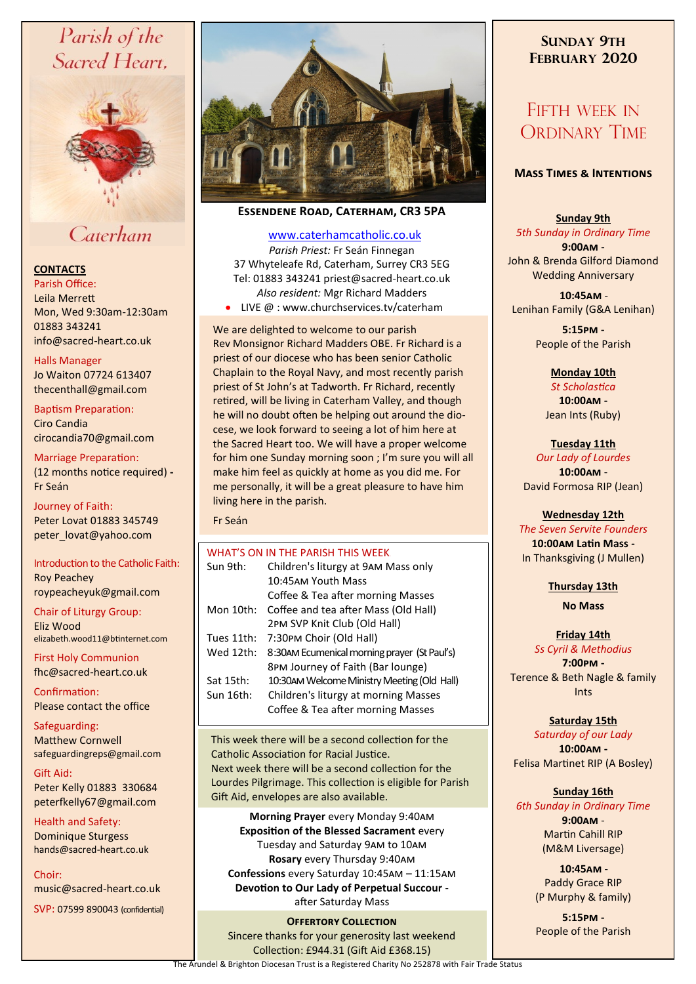# Parish of the Sacred Heart,



# Caterham

# **CONTACTS**

Parish Office: Leila Merrett Mon, Wed 9:30am-12:30am 01883 343241 info@sacred-heart.co.uk .

#### Halls Manager

Jo Waiton 07724 613407 thecenthall@gmail.com

Baptism Preparation: Ciro Candia cirocandia70@gmail.com

#### Marriage Preparation: (12 months notice required) **-** Fr Seán

Journey of Faith: Peter Lovat 01883 345749 peter\_lovat@yahoo.com

Introduction to the Catholic Faith: Roy Peachey roypeacheyuk@gmail.com

Chair of Liturgy Group: Eliz Wood elizabeth.wood11@btinternet.com

First Holy Communion fhc@sacred-heart.co.uk

Confirmation: Please contact the office

Safeguarding: Matthew Cornwell safeguardingreps@gmail.com

Gift Aid: Peter Kelly 01883 330684 peterfkelly67@gmail.com

Health and Safety: Dominique Sturgess hands@sacred-heart.co.uk

Choir: music@sacred-heart.co.uk

SVP: 07599 890043 (confidential)



# **Essendene Road, Caterham, CR3 5PA**

## [www.caterhamcatholic.co.uk](http://Www.caterhamcatholic.co.uk)

*Parish Priest:* Fr Seán Finnegan 37 Whyteleafe Rd, Caterham, Surrey CR3 5EG Tel: 01883 343241 priest@sacred-heart.co.uk *Also resident:* Mgr Richard Madders • LIVE @ : www.churchservices.tv/caterham

We are delighted to welcome to our parish Rev Monsignor Richard Madders OBE. Fr Richard is a priest of our diocese who has been senior Catholic Chaplain to the Royal Navy, and most recently parish priest of St John's at Tadworth. Fr Richard, recently retired, will be living in Caterham Valley, and though he will no doubt often be helping out around the diocese, we look forward to seeing a lot of him here at the Sacred Heart too. We will have a proper welcome for him one Sunday morning soon ; I'm sure you will all make him feel as quickly at home as you did me. For me personally, it will be a great pleasure to have him living here in the parish.

#### Fr Seán

|            | WHAT'S ON IN THE PARISH THIS WEEK.           |
|------------|----------------------------------------------|
| Sun 9th:   | Children's liturgy at 9AM Mass only          |
|            | 10:45AM Youth Mass                           |
|            | Coffee & Tea after morning Masses            |
| Mon 10th:  | Coffee and tea after Mass (Old Hall)         |
|            | 2PM SVP Knit Club (Old Hall)                 |
| Tues 11th: | 7:30PM Choir (Old Hall)                      |
| Wed 12th:  | 8:30AM Ecumenical morning prayer (St Paul's) |
|            | 8PM Journey of Faith (Bar lounge)            |
| Sat 15th:  | 10:30AM Welcome Ministry Meeting (Old Hall)  |
| Sun 16th:  | Children's liturgy at morning Masses         |
|            | Coffee & Tea after morning Masses            |
|            |                                              |

This week there will be a second collection for the Catholic Association for Racial Justice. Next week there will be a second collection for the Lourdes Pilgrimage. This collection is eligible for Parish Gift Aid, envelopes are also available.

**Morning Prayer** every Monday 9:40am **Exposition of the Blessed Sacrament** every Tuesday and Saturday 9am to 10am **Rosary** every Thursday 9:40am **Confessions** every Saturday 10:45am – 11:15am **Devotion to Our Lady of Perpetual Succour**  after Saturday Mass

**OFFERTORY COLLECTION** Sincere thanks for your generosity last weekend Collection: £944.31 (Gift Aid £368.15) The Arundel & Brighton Diocesan Trust is a Registered Charity No 252878 with Fair Trade Status

# **SUNDAY 9TH FEBRUARY 2020**

# FIFTH WEEK IN ORDINARY TIME

# **Mass Times & Intentions**

### **Sunday 9th**

*5th Sunday in Ordinary Time* **9:00am** - John & Brenda Gilford Diamond Wedding Anniversary

.**10:45am** - Lenihan Family (G&A Lenihan)

> **5:15pm -** People of the Parish

> > **Monday 10th**  *St Scholastica* **10:00am -**

Jean Ints (Ruby)

**Tuesday 11th**

*Our Lady of Lourdes* **10:00am** - David Formosa RIP (Jean)

#### **Wednesday 12th**

*The Seven Servite Founders* **10:00am Latin Mass -** In Thanksgiving (J Mullen)

**Thursday 13th** 

**No Mass**

# **Friday 14th**

*Ss Cyril & Methodius* **7:00pm -** Terence & Beth Nagle & family Ints

# **Saturday 15th**

*Saturday of our Lady* **10:00am -**  Felisa Martinet RIP (A Bosley)

# **Sunday 16th**

*6th Sunday in Ordinary Time* **9:00am** - Martin Cahill RIP (M&M Liversage)

> .**10:45am** - Paddy Grace RIP (P Murphy & family)

**5:15pm -** People of the Parish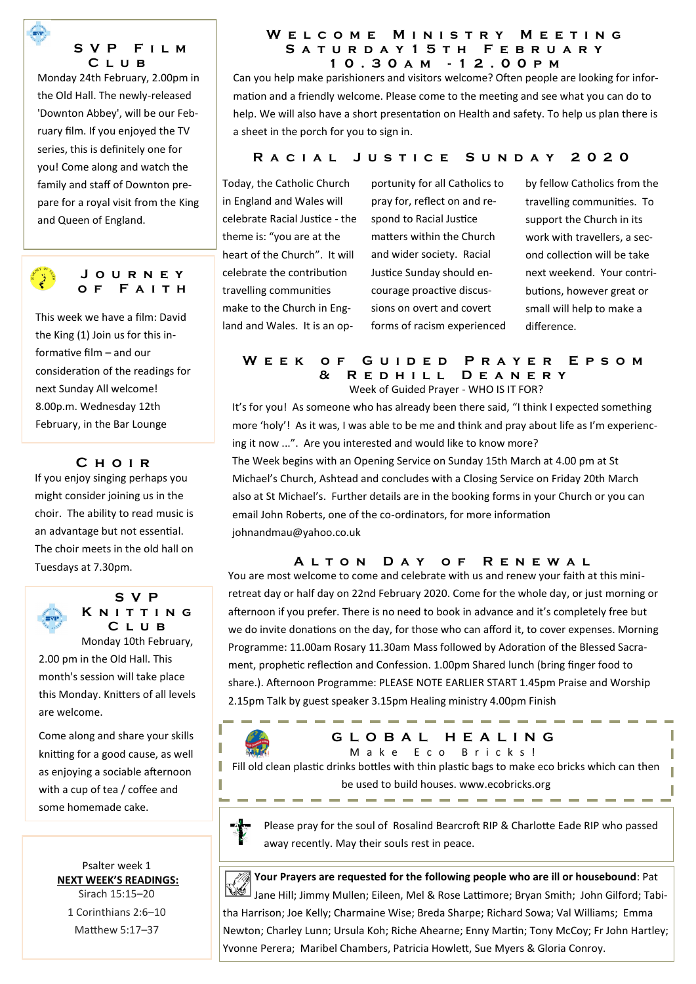

Monday 24th February, 2.00pm in the Old Hall. The newly-released 'Downton Abbey', will be our February film. If you enjoyed the TV series, this is definitely one for you! Come along and watch the family and staff of Downton prepare for a royal visit from the King and Queen of England.



**J o u r n e y o f F a i t h**

This week we have a film: David the King (1) Join us for this informative film – and our consideration of the readings for next Sunday All welcome! 8.00p.m. Wednesday 12th February, in the Bar Lounge

# **C h o i r**

If you enjoy singing perhaps you might consider joining us in the choir. The ability to read music is an advantage but not essential. The choir meets in the old hall on Tuesdays at 7.30pm.



**S V P K n i t t i n g C l u b** Monday 10th February,

2.00 pm in the Old Hall. This month's session will take place this Monday. Knitters of all levels are welcome.

Come along and share your skills knitting for a good cause, as well as enjoying a sociable afternoon with a cup of tea / coffee and some homemade cake.

> Psalter week 1 **NEXT WEEK'S READINGS:**  Sirach 15:15–20 1 Corinthians 2:6–10 Matthew 5:17–37

#### W E L C O M E M I N I S T R Y M E E T I N G **S a t u r d a y 1 5 t h F e b r u a r y 1 0 . 3 0 a m - 1 2 . 0 0 p m**

Can you help make parishioners and visitors welcome? Often people are looking for information and a friendly welcome. Please come to the meeting and see what you can do to help. We will also have a short presentation on Health and safety. To help us plan there is a sheet in the porch for you to sign in.

# **R a c i a l J u s t i c e S u n d a y 2 0 2 0**

Today, the Catholic Church in England and Wales will celebrate Racial Justice - the theme is: "you are at the heart of the Church". It will celebrate the contribution travelling communities make to the Church in England and Wales. It is an opportunity for all Catholics to pray for, reflect on and respond to Racial Justice matters within the Church and wider society. Racial Justice Sunday should encourage proactive discussions on overt and covert forms of racism experienced by fellow Catholics from the travelling communities. To support the Church in its work with travellers, a second collection will be take next weekend. Your contributions, however great or small will help to make a difference.

### W E E K O F G U I D E D P R A Y E R E P S O M **& R e d h i l l D e a n e r y**  Week of Guided Prayer - WHO IS IT FOR?

It's for you! As someone who has already been there said, "I think I expected something more 'holy'! As it was, I was able to be me and think and pray about life as I'm experiencing it now ...". Are you interested and would like to know more? The Week begins with an Opening Service on Sunday 15th March at 4.00 pm at St Michael's Church, Ashtead and concludes with a Closing Service on Friday 20th March also at St Michael's. Further details are in the booking forms in your Church or you can email John Roberts, one of the co-ordinators, for more information johnandmau@yahoo.co.uk

# **A l t o n D a y o f R e n e w a l**

You are most welcome to come and celebrate with us and renew your faith at this miniretreat day or half day on 22nd February 2020. Come for the whole day, or just morning or afternoon if you prefer. There is no need to book in advance and it's completely free but we do invite donations on the day, for those who can afford it, to cover expenses. Morning Programme: 11.00am Rosary 11.30am Mass followed by Adoration of the Blessed Sacrament, prophetic reflection and Confession. 1.00pm Shared lunch (bring finger food to share.). Afternoon Programme: PLEASE NOTE EARLIER START 1.45pm Praise and Worship 2.15pm Talk by guest speaker 3.15pm Healing ministry 4.00pm Finish

# **G L O B A L H E A L I N G** Make E co Bricks!

Fill old clean plastic drinks bottles with thin plastic bags to make eco bricks which can then be used to build houses. www.ecobricks.org

I

Please pray for the soul of Rosalind Bearcroft RIP & Charlotte Eade RIP who passed away recently. May their souls rest in peace.

*M* **Your Prayers are requested for the following people who are ill or housebound: Pat** Jane Hill; Jimmy Mullen; Eileen, Mel & Rose Lattimore; Bryan Smith; John Gilford; Tabitha Harrison; Joe Kelly; Charmaine Wise; Breda Sharpe; Richard Sowa; Val Williams; Emma Newton; Charley Lunn; Ursula Koh; Riche Ahearne; Enny Martin; Tony McCoy; Fr John Hartley; Yvonne Perera; Maribel Chambers, Patricia Howlett, Sue Myers & Gloria Conroy.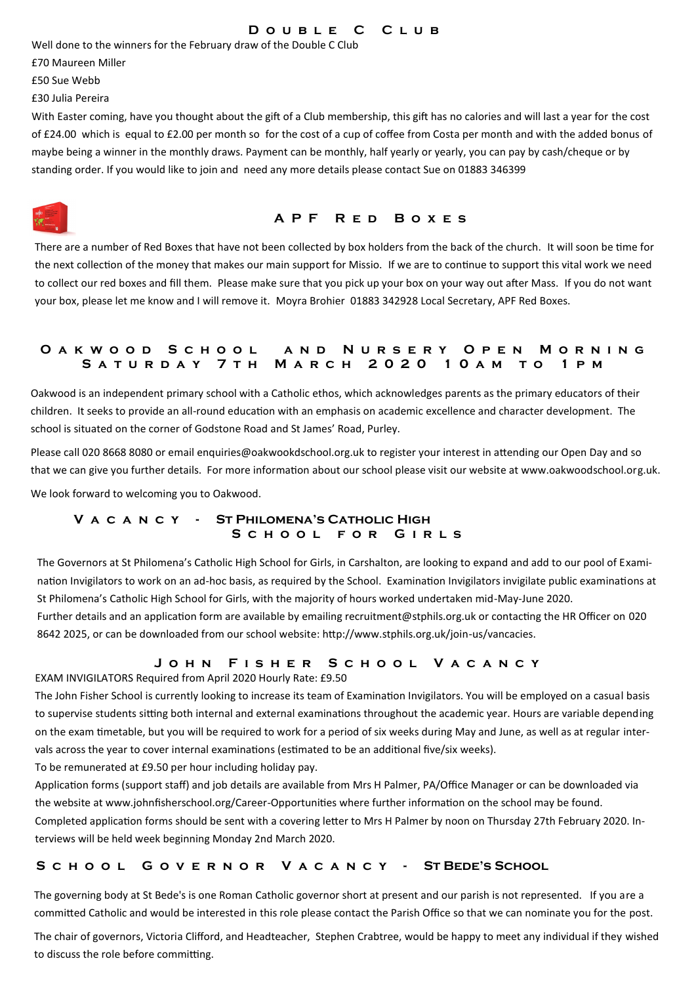#### **D o u b l e C C l u b**

Well done to the winners for the February draw of the Double C Club

£70 Maureen Miller

£50 Sue Webb

£30 Julia Pereira

With Easter coming, have you thought about the gift of a Club membership, this gift has no calories and will last a year for the cost of £24.00 which is equal to £2.00 per month so for the cost of a cup of coffee from Costa per month and with the added bonus of maybe being a winner in the monthly draws. Payment can be monthly, half yearly or yearly, you can pay by cash/cheque or by standing order. If you would like to join and need any more details please contact Sue on 01883 346399

# **A P F R e d B o x e s**

There are a number of Red Boxes that have not been collected by box holders from the back of the church. It will soon be time for the next collection of the money that makes our main support for Missio. If we are to continue to support this vital work we need to collect our red boxes and fill them. Please make sure that you pick up your box on your way out after Mass. If you do not want your box, please let me know and I will remove it. Moyra Brohier 01883 342928 Local Secretary, APF Red Boxes.

# **O a k w o o d S c h o o l a n d N u r s e r y O p e n M o r n i n g S a t u r d a y 7 t h M a r c h 2 0 2 0 1 0 a m t o 1 p m**

Oakwood is an independent primary school with a Catholic ethos, which acknowledges parents as the primary educators of their children. It seeks to provide an all-round education with an emphasis on academic excellence and character development. The school is situated on the corner of Godstone Road and St James' Road, Purley.

Please call 020 8668 8080 or email enquiries@oakwookdschool.org.uk to register your interest in attending our Open Day and so that we can give you further details. For more information about our school please visit our website at www.oakwoodschool.org.uk. We look forward to welcoming you to Oakwood.

# **V a c a n c y - St Philomena's Catholic High S c h o o l f o r G i r l s**

The Governors at St Philomena's Catholic High School for Girls, in Carshalton, are looking to expand and add to our pool of Examination Invigilators to work on an ad-hoc basis, as required by the School. Examination Invigilators invigilate public examinations at St Philomena's Catholic High School for Girls, with the majority of hours worked undertaken mid-May-June 2020.

Further details and an application form are available by emailing recruitment@stphils.org.uk or contacting the HR Officer on 020 8642 2025, or can be downloaded from our school website: http://www.stphils.org.uk/join-us/vancacies.

# **J o h n F i s h e r S c h o o l V a c a n c y**

EXAM INVIGILATORS Required from April 2020 Hourly Rate: £9.50

The John Fisher School is currently looking to increase its team of Examination Invigilators. You will be employed on a casual basis to supervise students sitting both internal and external examinations throughout the academic year. Hours are variable depending on the exam timetable, but you will be required to work for a period of six weeks during May and June, as well as at regular intervals across the year to cover internal examinations (estimated to be an additional five/six weeks).

To be remunerated at £9.50 per hour including holiday pay.

Application forms (support staff) and job details are available from Mrs H Palmer, PA/Office Manager or can be downloaded via the website at www.johnfisherschool.org/Career-Opportunities where further information on the school may be found. Completed application forms should be sent with a covering letter to Mrs H Palmer by noon on Thursday 27th February 2020. Interviews will be held week beginning Monday 2nd March 2020.

# **S c h o o l G o v e r n o r V a c a n c y - St Bede's School**

The governing body at St Bede's is one Roman Catholic governor short at present and our parish is not represented. If you are a committed Catholic and would be interested in this role please contact the Parish Office so that we can nominate you for the post.

The chair of governors, Victoria Clifford, and Headteacher, Stephen Crabtree, would be happy to meet any individual if they wished to discuss the role before committing.